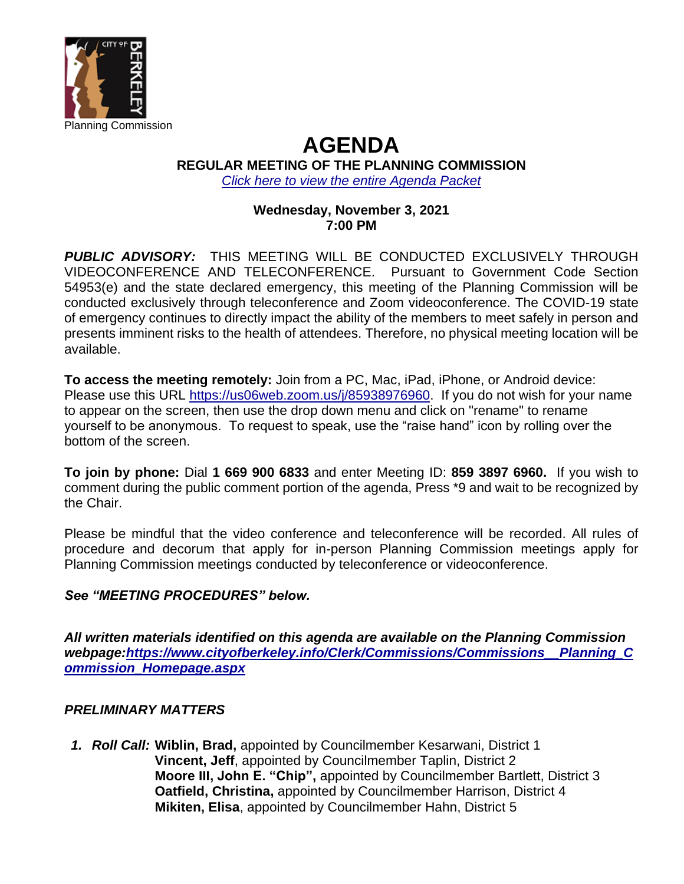

# **AGENDA**

**REGULAR MEETING OF THE PLANNING COMMISSION**

*[Click here to view the entire Agenda Packet](https://www.cityofberkeley.info/uploadedFiles/Planning_and_Development/Level_3_-_Commissions/Commission_for_Planning/2021-11-03%20PC_Agenda%20Packet.pdf)*

## **Wednesday, November 3, 2021 7:00 PM**

*PUBLIC ADVISORY:* THIS MEETING WILL BE CONDUCTED EXCLUSIVELY THROUGH VIDEOCONFERENCE AND TELECONFERENCE. Pursuant to Government Code Section 54953(e) and the state declared emergency, this meeting of the Planning Commission will be conducted exclusively through teleconference and Zoom videoconference. The COVID-19 state of emergency continues to directly impact the ability of the members to meet safely in person and presents imminent risks to the health of attendees. Therefore, no physical meeting location will be available.

**To access the meeting remotely:** Join from a PC, Mac, iPad, iPhone, or Android device: Please use this URL [https://us06web.zoom.us/j/85938976960.](https://us06web.zoom.us/j/85938976960) If you do not wish for your name to appear on the screen, then use the drop down menu and click on "rename" to rename yourself to be anonymous. To request to speak, use the "raise hand" icon by rolling over the bottom of the screen.

**To join by phone:** Dial **1 669 900 6833** and enter Meeting ID: **859 3897 6960.** If you wish to comment during the public comment portion of the agenda, Press \*9 and wait to be recognized by the Chair.

Please be mindful that the video conference and teleconference will be recorded. All rules of procedure and decorum that apply for in-person Planning Commission meetings apply for Planning Commission meetings conducted by teleconference or videoconference.

# *See "MEETING PROCEDURES" below.*

*All written materials identified on this agenda are available on the Planning Commission webpage[:https://www.cityofberkeley.info/Clerk/Commissions/Commissions\\_\\_Planning\\_C](https://www.cityofberkeley.info/Clerk/Commissions/Commissions__Planning_Commission_Homepage.aspx) [ommission\\_Homepage.aspx](https://www.cityofberkeley.info/Clerk/Commissions/Commissions__Planning_Commission_Homepage.aspx)*

# *PRELIMINARY MATTERS*

*1. Roll Call:* **Wiblin, Brad,** appointed by Councilmember Kesarwani, District 1 **Vincent, Jeff**, appointed by Councilmember Taplin, District 2  **Moore III, John E. "Chip",** appointed by Councilmember Bartlett, District 3 **Oatfield, Christina,** appointed by Councilmember Harrison, District 4 **Mikiten, Elisa**, appointed by Councilmember Hahn, District 5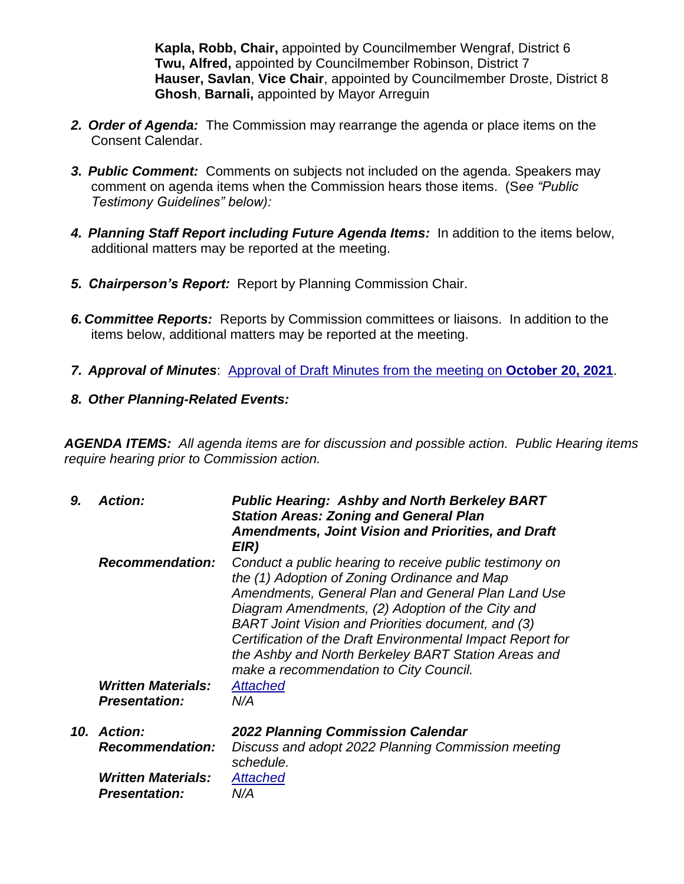**Kapla, Robb, Chair,** appointed by Councilmember Wengraf, District 6 **Twu, Alfred,** appointed by Councilmember Robinson, District 7 **Hauser, Savlan**, **Vice Chair**, appointed by Councilmember Droste, District 8 **Ghosh**, **Barnali,** appointed by Mayor Arreguin

- *2. Order of Agenda:* The Commission may rearrange the agenda or place items on the Consent Calendar.
- *3. Public Comment:* Comments on subjects not included on the agenda. Speakers may comment on agenda items when the Commission hears those items. (S*ee "Public Testimony Guidelines" below):*
- *4. Planning Staff Report including Future Agenda Items:* In addition to the items below, additional matters may be reported at the meeting.
- *5. Chairperson's Report:* Report by Planning Commission Chair.
- *6. Committee Reports:* Reports by Commission committees or liaisons. In addition to the items below, additional matters may be reported at the meeting.
- *7. Approval of Minutes*: [Approval of Draft Minutes from the meeting on](https://www.cityofberkeley.info/uploadedFiles/Planning_and_Development/Level_3_-_Commissions/Commission_for_Planning/2021-11-03_Draft%20Minutes_2021-10-20.pdf) **October 20, 2021**.
- *8. Other Planning-Related Events:*

*AGENDA ITEMS: All agenda items are for discussion and possible action. Public Hearing items require hearing prior to Commission action.*

| 9. | <b>Action:</b>                                    | <b>Public Hearing: Ashby and North Berkeley BART</b><br><b>Station Areas: Zoning and General Plan</b><br><b>Amendments, Joint Vision and Priorities, and Draft</b><br>EIR)                                                                                                                                                                                                                                                             |
|----|---------------------------------------------------|----------------------------------------------------------------------------------------------------------------------------------------------------------------------------------------------------------------------------------------------------------------------------------------------------------------------------------------------------------------------------------------------------------------------------------------|
|    | <b>Recommendation:</b>                            | Conduct a public hearing to receive public testimony on<br>the (1) Adoption of Zoning Ordinance and Map<br>Amendments, General Plan and General Plan Land Use<br>Diagram Amendments, (2) Adoption of the City and<br>BART Joint Vision and Priorities document, and (3)<br>Certification of the Draft Environmental Impact Report for<br>the Ashby and North Berkeley BART Station Areas and<br>make a recommendation to City Council. |
|    | <b>Written Materials:</b><br><b>Presentation:</b> | <b>Attached</b><br>N/A                                                                                                                                                                                                                                                                                                                                                                                                                 |
|    | 10. Action:                                       | 2022 Planning Commission Calendar                                                                                                                                                                                                                                                                                                                                                                                                      |
|    | <b>Recommendation:</b>                            | Discuss and adopt 2022 Planning Commission meeting<br>schedule.                                                                                                                                                                                                                                                                                                                                                                        |
|    | <b>Written Materials:</b>                         | Attached                                                                                                                                                                                                                                                                                                                                                                                                                               |
|    | <b>Presentation:</b>                              | N/A                                                                                                                                                                                                                                                                                                                                                                                                                                    |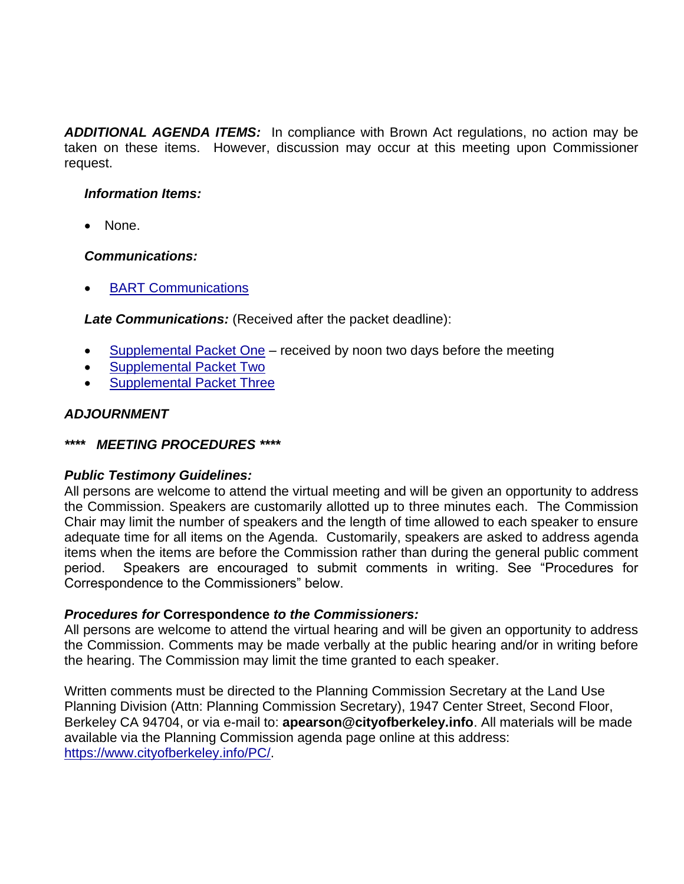*ADDITIONAL AGENDA ITEMS:* In compliance with Brown Act regulations, no action may be taken on these items. However, discussion may occur at this meeting upon Commissioner request.

## *Information Items:*

• None.

#### *Communications:*

• [BART Communications](https://www.cityofberkeley.info/uploadedFiles/Planning_and_Development/Level_3_-_Commissions/Commission_for_Planning/2021-11-03%20PC_Communications.pdf)

*Late Communications:* (Received after the packet deadline):

- [Supplemental Packet One](https://www.cityofberkeley.info/uploadedFiles/Planning_and_Development/Level_3_-_Commissions/Commission_for_Planning/2021-11-03_PC_COMM_Supplemental%20Packet%201.pdf) received by noon two days before the meeting
- [Supplemental Packet Two](https://www.cityofberkeley.info/uploadedFiles/Planning_and_Development/Level_3_-_Commissions/Commission_for_Planning/2021-11-03_COMM_Supplemental%20Communications%20Packet%202.pdf)
- [Supplemental Packet Three](https://www.cityofberkeley.info/uploadedFiles/Planning_and_Development/Level_3_-_Commissions/Commission_for_Planning/2021-11-03_PC_COMM_Supplemental%20Communications%20Packet%203.pdf)

## *ADJOURNMENT*

## *\*\*\*\* MEETING PROCEDURES \*\*\*\**

## *Public Testimony Guidelines:*

All persons are welcome to attend the virtual meeting and will be given an opportunity to address the Commission. Speakers are customarily allotted up to three minutes each. The Commission Chair may limit the number of speakers and the length of time allowed to each speaker to ensure adequate time for all items on the Agenda. Customarily, speakers are asked to address agenda items when the items are before the Commission rather than during the general public comment period. Speakers are encouraged to submit comments in writing. See "Procedures for Correspondence to the Commissioners" below.

## *Procedures for* **Correspondence** *to the Commissioners:*

All persons are welcome to attend the virtual hearing and will be given an opportunity to address the Commission. Comments may be made verbally at the public hearing and/or in writing before the hearing. The Commission may limit the time granted to each speaker.

Written comments must be directed to the Planning Commission Secretary at the Land Use Planning Division (Attn: Planning Commission Secretary), 1947 Center Street, Second Floor, Berkeley CA 94704, or via e-mail to: **apearson@cityofberkeley.info**. All materials will be made available via the Planning Commission agenda page online at this address: [https://www.cityofberkeley.info/PC/.](https://www.cityofberkeley.info/PC/)